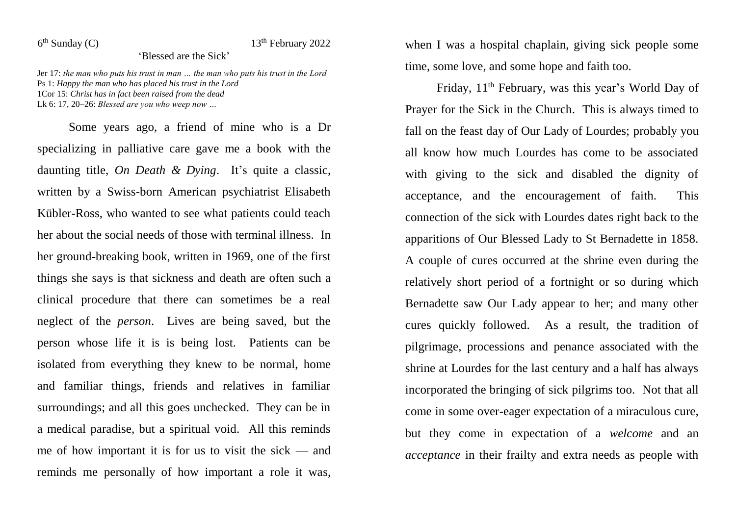$6<sup>th</sup>$  Sunday (C)

## $13<sup>th</sup>$  February 2022

## 'Blessed are the Sick'

Jer 17: *the man who puts his trust in man … the man who puts his trust in the Lord* Ps 1: *Happy the man who has placed his trust in the Lord* 1Cor 15: *Christ has in fact been raised from the dead* Lk 6: 17, 20–26: *Blessed are you who weep now …*

Some years ago, a friend of mine who is a Dr specializing in palliative care gave me a book with the daunting title, *On Death & Dying*. It's quite a classic, written by a Swiss-born American psychiatrist Elisabeth Kübler-Ross, who wanted to see what patients could teach her about the social needs of those with terminal illness. In her ground-breaking book, written in 1969, one of the first things she says is that sickness and death are often such a clinical procedure that there can sometimes be a real neglect of the *person*. Lives are being saved, but the person whose life it is is being lost. Patients can be isolated from everything they knew to be normal, home and familiar things, friends and relatives in familiar surroundings; and all this goes unchecked. They can be in a medical paradise, but a spiritual void. All this reminds me of how important it is for us to visit the sick — and reminds me personally of how important a role it was,

when I was a hospital chaplain, giving sick people some time, some love, and some hope and faith too.

Friday, 11<sup>th</sup> February, was this year's World Day of Prayer for the Sick in the Church. This is always timed to fall on the feast day of Our Lady of Lourdes; probably you all know how much Lourdes has come to be associated with giving to the sick and disabled the dignity of acceptance, and the encouragement of faith. This connection of the sick with Lourdes dates right back to the apparitions of Our Blessed Lady to St Bernadette in 1858. A couple of cures occurred at the shrine even during the relatively short period of a fortnight or so during which Bernadette saw Our Lady appear to her; and many other cures quickly followed. As a result, the tradition of pilgrimage, processions and penance associated with the shrine at Lourdes for the last century and a half has always incorporated the bringing of sick pilgrims too. Not that all come in some over-eager expectation of a miraculous cure, but they come in expectation of a *welcome* and an *acceptance* in their frailty and extra needs as people with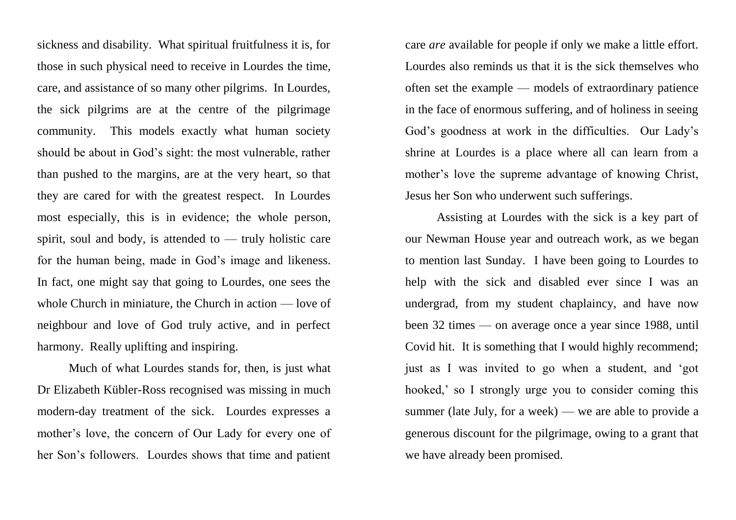sickness and disability. What spiritual fruitfulness it is, for those in such physical need to receive in Lourdes the time, care, and assistance of so many other pilgrims. In Lourdes, the sick pilgrims are at the centre of the pilgrimage community. This models exactly what human society should be about in God's sight: the most vulnerable, rather than pushed to the margins, are at the very heart, so that they are cared for with the greatest respect. In Lourdes most especially, this is in evidence; the whole person, spirit, soul and body, is attended to — truly holistic care for the human being, made in God's image and likeness. In fact, one might say that going to Lourdes, one sees the whole Church in miniature, the Church in action — love of neighbour and love of God truly active, and in perfect harmony. Really uplifting and inspiring.

Much of what Lourdes stands for, then, is just what Dr Elizabeth Kübler-Ross recognised was missing in much modern-day treatment of the sick. Lourdes expresses a mother's love, the concern of Our Lady for every one of her Son's followers. Lourdes shows that time and patient

care *are* available for people if only we make a little effort. Lourdes also reminds us that it is the sick themselves who often set the example — models of extraordinary patience in the face of enormous suffering, and of holiness in seeing God's goodness at work in the difficulties. Our Lady's shrine at Lourdes is a place where all can learn from a mother's love the supreme advantage of knowing Christ, Jesus her Son who underwent such sufferings.

Assisting at Lourdes with the sick is a key part of our Newman House year and outreach work, as we began to mention last Sunday. I have been going to Lourdes to help with the sick and disabled ever since I was an undergrad, from my student chaplaincy, and have now been 32 times — on average once a year since 1988, until Covid hit. It is something that I would highly recommend; just as I was invited to go when a student, and 'got hooked,' so I strongly urge you to consider coming this summer (late July, for a week) — we are able to provide a generous discount for the pilgrimage, owing to a grant that we have already been promised.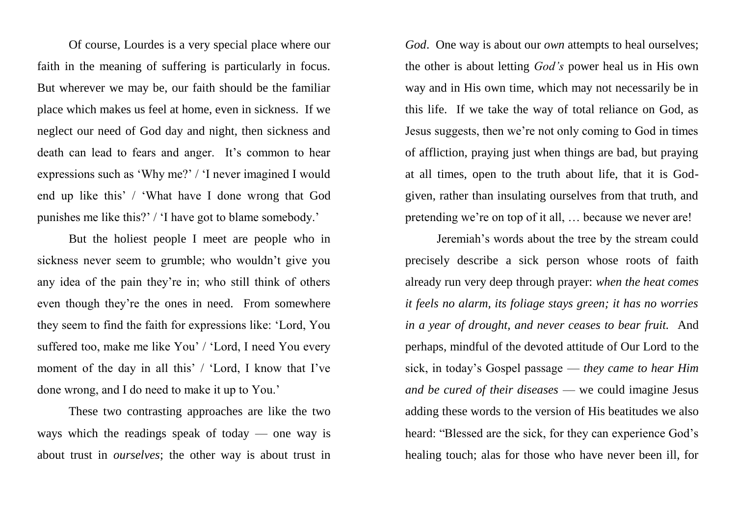Of course, Lourdes is a very special place where our faith in the meaning of suffering is particularly in focus. But wherever we may be, our faith should be the familiar place which makes us feel at home, even in sickness. If we neglect our need of God day and night, then sickness and death can lead to fears and anger. It's common to hear expressions such as 'Why me?' / 'I never imagined I would end up like this' / 'What have I done wrong that God punishes me like this?' / 'I have got to blame somebody.'

But the holiest people I meet are people who in sickness never seem to grumble; who wouldn't give you any idea of the pain they're in; who still think of others even though they're the ones in need. From somewhere they seem to find the faith for expressions like: 'Lord, You suffered too, make me like You' / 'Lord, I need You every moment of the day in all this' / 'Lord, I know that I've done wrong, and I do need to make it up to You.'

These two contrasting approaches are like the two ways which the readings speak of today — one way is about trust in *ourselves*; the other way is about trust in *God*. One way is about our *own* attempts to heal ourselves; the other is about letting *God's* power heal us in His own way and in His own time, which may not necessarily be in this life. If we take the way of total reliance on God, as Jesus suggests, then we're not only coming to God in times of affliction, praying just when things are bad, but praying at all times, open to the truth about life, that it is Godgiven, rather than insulating ourselves from that truth, and pretending we're on top of it all, … because we never are!

Jeremiah's words about the tree by the stream could precisely describe a sick person whose roots of faith already run very deep through prayer: *when the heat comes it feels no alarm, its foliage stays green; it has no worries in a year of drought, and never ceases to bear fruit.* And perhaps, mindful of the devoted attitude of Our Lord to the sick, in today's Gospel passage — *they came to hear Him and be cured of their diseases* — we could imagine Jesus adding these words to the version of His beatitudes we also heard: "Blessed are the sick, for they can experience God's healing touch; alas for those who have never been ill, for